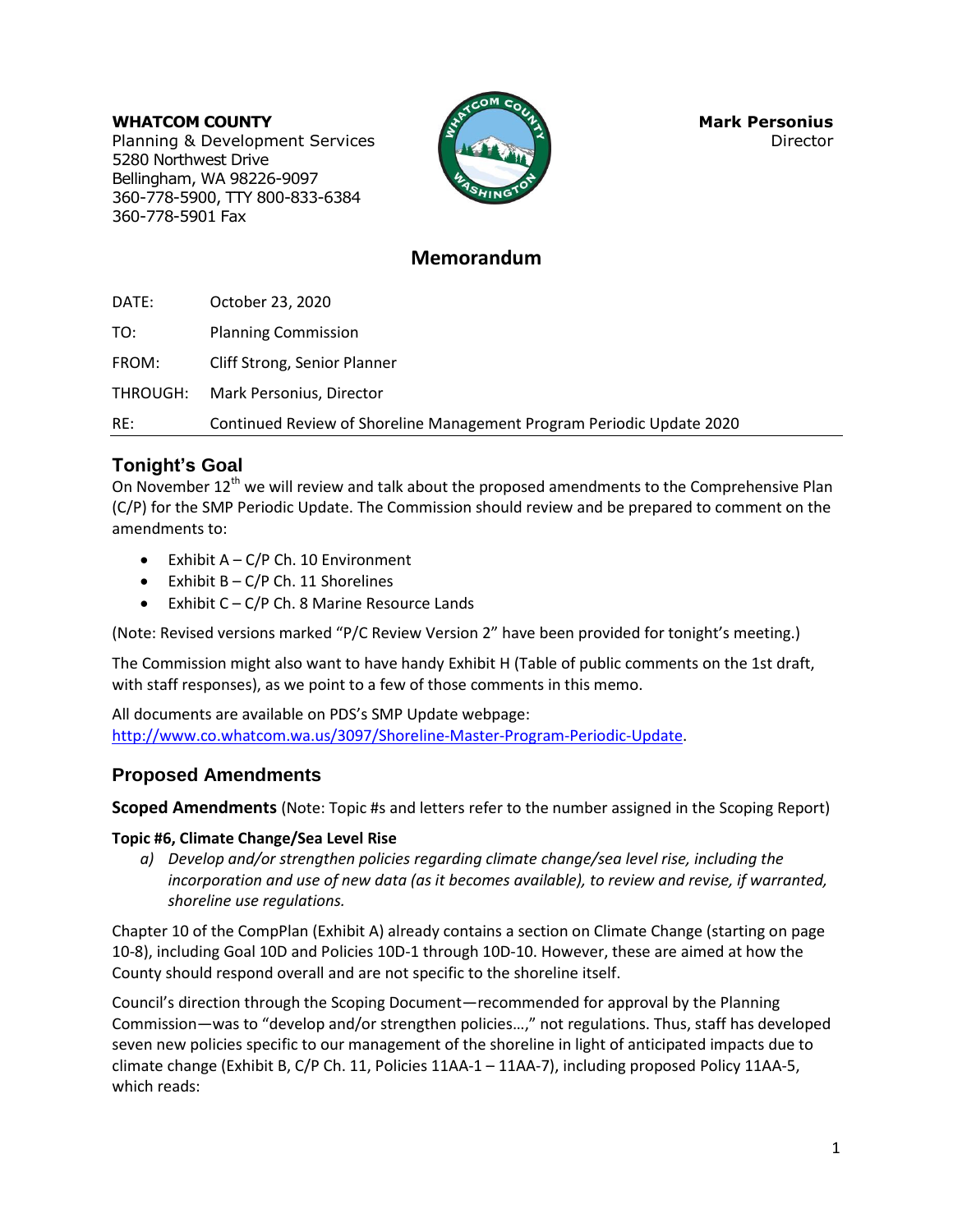### **WHATCOM COUNTY Mark Personius Mark Personius**

Planning & Development Services **Director Director** 5280 Northwest Drive Bellingham, WA 98226-9097 360-778-5900, TTY 800-833-6384 360-778-5901 Fax



## **Memorandum**

DATE: October 23, 2020

TO: Planning Commission

FROM: Cliff Strong, Senior Planner

THROUGH: Mark Personius, Director

RE: Continued Review of Shoreline Management Program Periodic Update 2020

# **Tonight's Goal**

On November 12<sup>th</sup> we will review and talk about the proposed amendments to the Comprehensive Plan (C/P) for the SMP Periodic Update. The Commission should review and be prepared to comment on the amendments to:

- Exhibit  $A C/P$  Ch. 10 Environment
- $\bullet$  Exhibit B C/P Ch. 11 Shorelines
- Exhibit  $C C/P$  Ch. 8 Marine Resource Lands

(Note: Revised versions marked "P/C Review Version 2" have been provided for tonight's meeting.)

The Commission might also want to have handy Exhibit H (Table of public comments on the 1st draft, with staff responses), as we point to a few of those comments in this memo.

All documents are available on PDS's SMP Update webpage: [http://www.co.whatcom.wa.us/3097/Shoreline-Master-Program-Periodic-Update.](http://www.co.whatcom.wa.us/3097/Shoreline-Master-Program-Periodic-Update)

## **Proposed Amendments**

**Scoped Amendments** (Note: Topic #s and letters refer to the number assigned in the Scoping Report)

## **Topic #6, Climate Change/Sea Level Rise**

*a) Develop and/or strengthen policies regarding climate change/sea level rise, including the incorporation and use of new data (as it becomes available), to review and revise, if warranted, shoreline use regulations.*

Chapter 10 of the CompPlan (Exhibit A) already contains a section on Climate Change (starting on page 10-8), including Goal 10D and Policies 10D-1 through 10D-10. However, these are aimed at how the County should respond overall and are not specific to the shoreline itself.

Council's direction through the Scoping Document—recommended for approval by the Planning Commission—was to "develop and/or strengthen policies…," not regulations. Thus, staff has developed seven new policies specific to our management of the shoreline in light of anticipated impacts due to climate change (Exhibit B, C/P Ch. 11, Policies 11AA-1 – 11AA-7), including proposed Policy 11AA-5, which reads: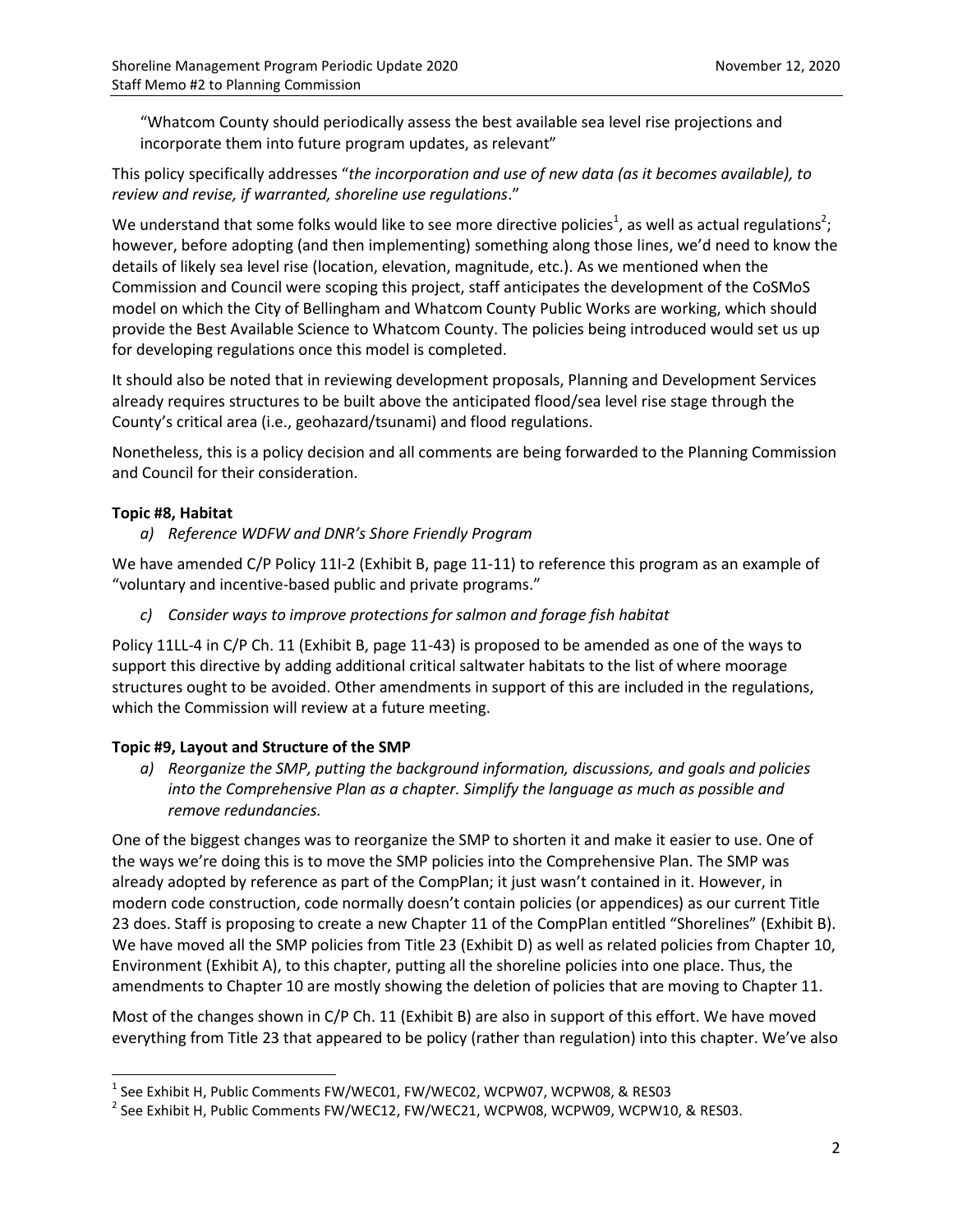"Whatcom County should periodically assess the best available sea level rise projections and incorporate them into future program updates, as relevant"

This policy specifically addresses "*the incorporation and use of new data (as it becomes available), to review and revise, if warranted, shoreline use regulations*."

We understand that some folks would like to see more directive policies<sup>1</sup>, as well as actual regulations<sup>2</sup>; however, before adopting (and then implementing) something along those lines, we'd need to know the details of likely sea level rise (location, elevation, magnitude, etc.). As we mentioned when the Commission and Council were scoping this project, staff anticipates the development of the CoSMoS model on which the City of Bellingham and Whatcom County Public Works are working, which should provide the Best Available Science to Whatcom County. The policies being introduced would set us up for developing regulations once this model is completed.

It should also be noted that in reviewing development proposals, Planning and Development Services already requires structures to be built above the anticipated flood/sea level rise stage through the County's critical area (i.e., geohazard/tsunami) and flood regulations.

Nonetheless, this is a policy decision and all comments are being forwarded to the Planning Commission and Council for their consideration.

## **Topic #8, Habitat**

l

*a) Reference WDFW and DNR's Shore Friendly Program*

We have amended C/P Policy 11I-2 (Exhibit B, page 11-11) to reference this program as an example of "voluntary and incentive-based public and private programs."

*c) Consider ways to improve protections for salmon and forage fish habitat*

Policy 11LL-4 in C/P Ch. 11 (Exhibit B, page 11-43) is proposed to be amended as one of the ways to support this directive by adding additional critical saltwater habitats to the list of where moorage structures ought to be avoided. Other amendments in support of this are included in the regulations, which the Commission will review at a future meeting.

### **Topic #9, Layout and Structure of the SMP**

*a) Reorganize the SMP, putting the background information, discussions, and goals and policies into the Comprehensive Plan as a chapter. Simplify the language as much as possible and remove redundancies.*

One of the biggest changes was to reorganize the SMP to shorten it and make it easier to use. One of the ways we're doing this is to move the SMP policies into the Comprehensive Plan. The SMP was already adopted by reference as part of the CompPlan; it just wasn't contained in it. However, in modern code construction, code normally doesn't contain policies (or appendices) as our current Title 23 does. Staff is proposing to create a new Chapter 11 of the CompPlan entitled "Shorelines" (Exhibit B). We have moved all the SMP policies from Title 23 (Exhibit D) as well as related policies from Chapter 10, Environment (Exhibit A), to this chapter, putting all the shoreline policies into one place. Thus, the amendments to Chapter 10 are mostly showing the deletion of policies that are moving to Chapter 11.

Most of the changes shown in C/P Ch. 11 (Exhibit B) are also in support of this effort. We have moved everything from Title 23 that appeared to be policy (rather than regulation) into this chapter. We've also

 $^{\rm 1}$  See Exhibit H, Public Comments FW/WEC01, FW/WEC02, WCPW07, WCPW08, & RES03

 $^{\text{2}}$  See Exhibit H, Public Comments FW/WEC12, FW/WEC21, WCPW08, WCPW09, WCPW10, & RES03.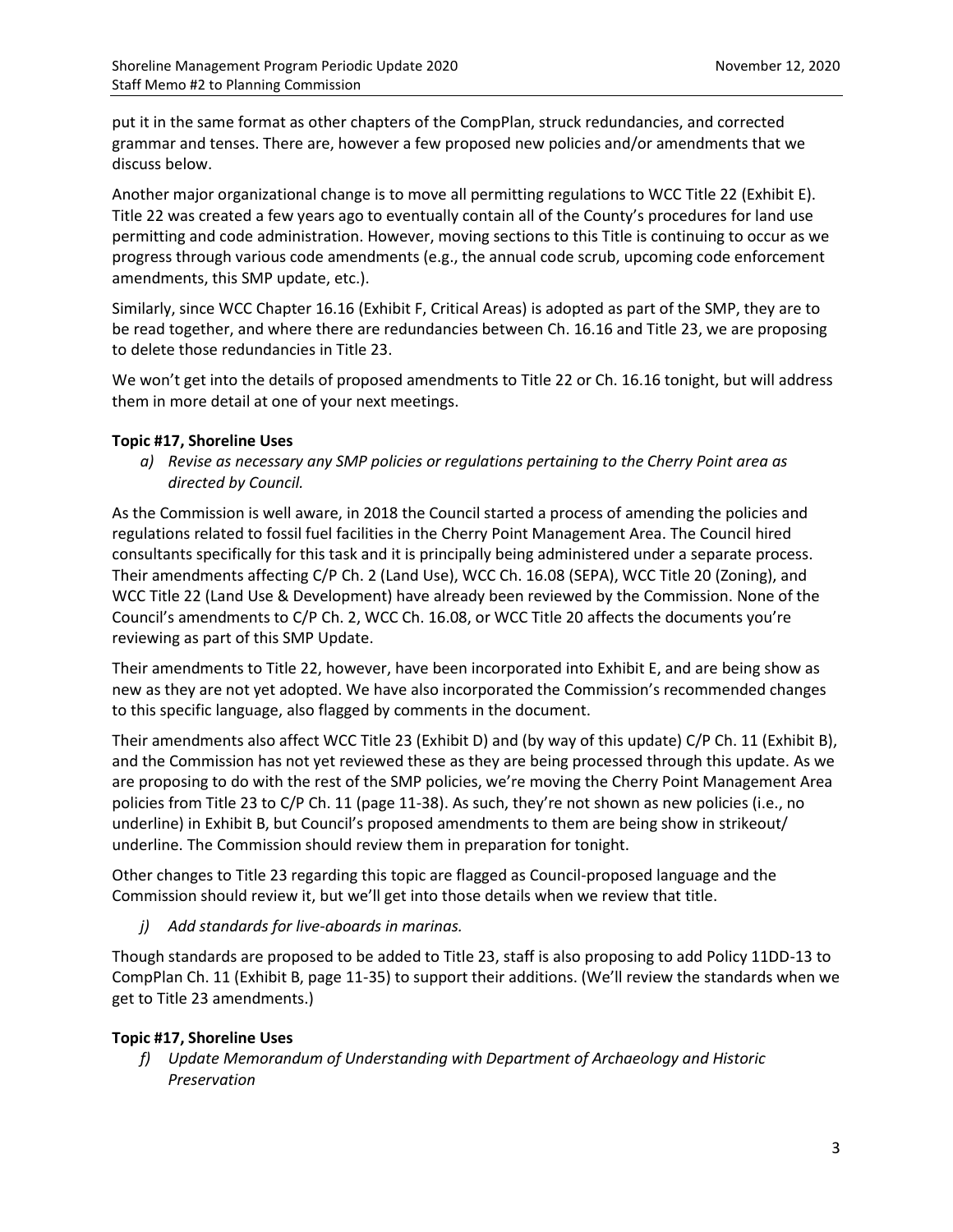put it in the same format as other chapters of the CompPlan, struck redundancies, and corrected grammar and tenses. There are, however a few proposed new policies and/or amendments that we discuss below.

Another major organizational change is to move all permitting regulations to WCC Title 22 (Exhibit E). Title 22 was created a few years ago to eventually contain all of the County's procedures for land use permitting and code administration. However, moving sections to this Title is continuing to occur as we progress through various code amendments (e.g., the annual code scrub, upcoming code enforcement amendments, this SMP update, etc.).

Similarly, since WCC Chapter 16.16 (Exhibit F, Critical Areas) is adopted as part of the SMP, they are to be read together, and where there are redundancies between Ch. 16.16 and Title 23, we are proposing to delete those redundancies in Title 23.

We won't get into the details of proposed amendments to Title 22 or Ch. 16.16 tonight, but will address them in more detail at one of your next meetings.

### **Topic #17, Shoreline Uses**

*a) Revise as necessary any SMP policies or regulations pertaining to the Cherry Point area as directed by Council.*

As the Commission is well aware, in 2018 the Council started a process of amending the policies and regulations related to fossil fuel facilities in the Cherry Point Management Area. The Council hired consultants specifically for this task and it is principally being administered under a separate process. Their amendments affecting C/P Ch. 2 (Land Use), WCC Ch. 16.08 (SEPA), WCC Title 20 (Zoning), and WCC Title 22 (Land Use & Development) have already been reviewed by the Commission. None of the Council's amendments to C/P Ch. 2, WCC Ch. 16.08, or WCC Title 20 affects the documents you're reviewing as part of this SMP Update.

Their amendments to Title 22, however, have been incorporated into Exhibit E, and are being show as new as they are not yet adopted. We have also incorporated the Commission's recommended changes to this specific language, also flagged by comments in the document.

Their amendments also affect WCC Title 23 (Exhibit D) and (by way of this update) C/P Ch. 11 (Exhibit B), and the Commission has not yet reviewed these as they are being processed through this update. As we are proposing to do with the rest of the SMP policies, we're moving the Cherry Point Management Area policies from Title 23 to C/P Ch. 11 (page 11-38). As such, they're not shown as new policies (i.e., no underline) in Exhibit B, but Council's proposed amendments to them are being show in strikeout/ underline. The Commission should review them in preparation for tonight.

Other changes to Title 23 regarding this topic are flagged as Council-proposed language and the Commission should review it, but we'll get into those details when we review that title.

*j) Add standards for live-aboards in marinas.*

Though standards are proposed to be added to Title 23, staff is also proposing to add Policy 11DD-13 to CompPlan Ch. 11 (Exhibit B, page 11-35) to support their additions. (We'll review the standards when we get to Title 23 amendments.)

## **Topic #17, Shoreline Uses**

*f) Update Memorandum of Understanding with Department of Archaeology and Historic Preservation*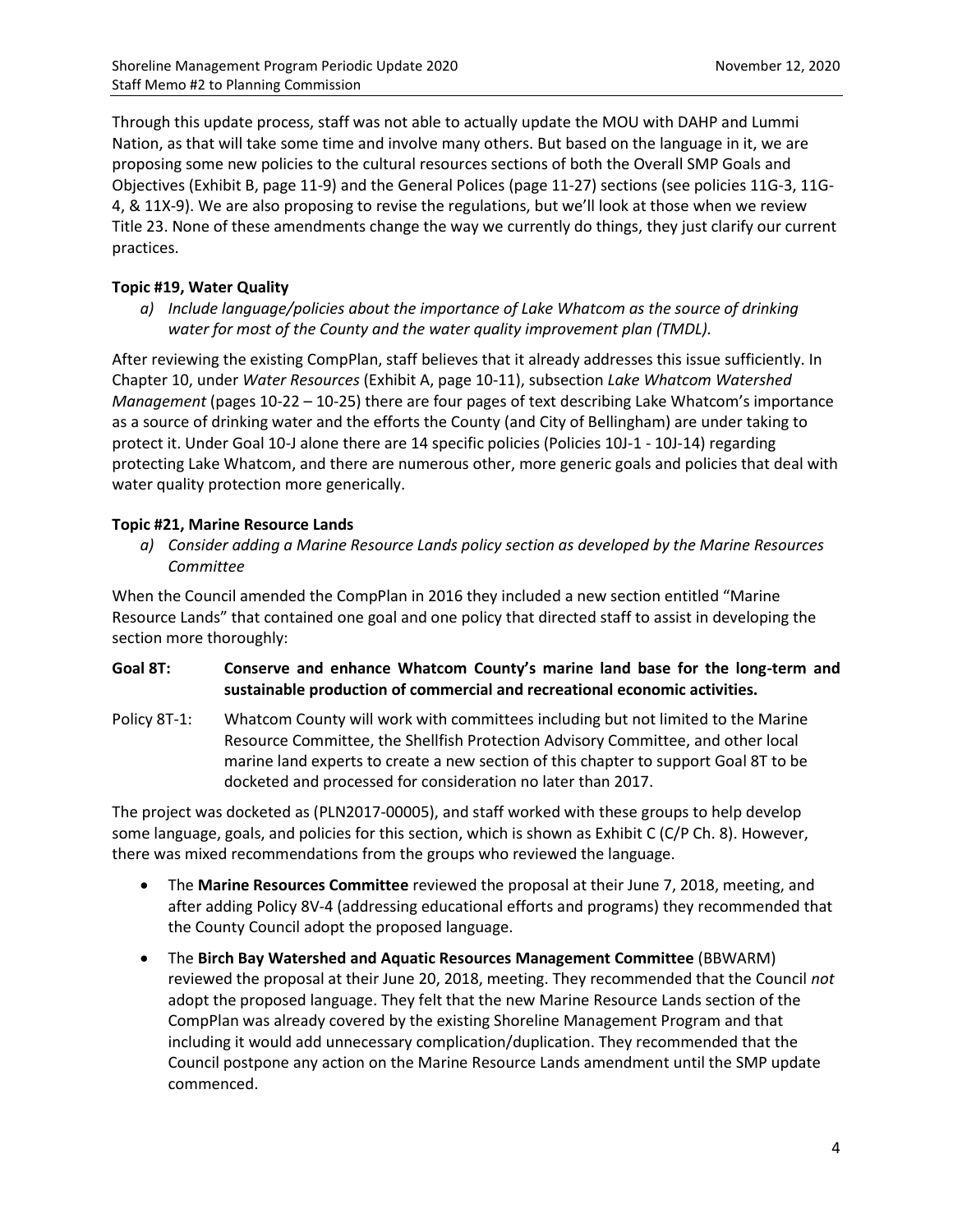Through this update process, staff was not able to actually update the MOU with DAHP and Lummi Nation, as that will take some time and involve many others. But based on the language in it, we are proposing some new policies to the cultural resources sections of both the Overall SMP Goals and Objectives (Exhibit B, page 11-9) and the General Polices (page 11-27) sections (see policies 11G-3, 11G-4, & 11X-9). We are also proposing to revise the regulations, but we'll look at those when we review Title 23. None of these amendments change the way we currently do things, they just clarify our current practices.

## **Topic #19, Water Quality**

*a) Include language/policies about the importance of Lake Whatcom as the source of drinking water for most of the County and the water quality improvement plan (TMDL).*

After reviewing the existing CompPlan, staff believes that it already addresses this issue sufficiently. In Chapter 10, under *Water Resources* (Exhibit A, page 10-11), subsection *Lake Whatcom Watershed Management* (pages 10-22 – 10-25) there are four pages of text describing Lake Whatcom's importance as a source of drinking water and the efforts the County (and City of Bellingham) are under taking to protect it. Under Goal 10-J alone there are 14 specific policies (Policies 10J-1 - 10J-14) regarding protecting Lake Whatcom, and there are numerous other, more generic goals and policies that deal with water quality protection more generically.

## **Topic #21, Marine Resource Lands**

*a) Consider adding a Marine Resource Lands policy section as developed by the Marine Resources Committee*

When the Council amended the CompPlan in 2016 they included a new section entitled "Marine Resource Lands" that contained one goal and one policy that directed staff to assist in developing the section more thoroughly:

## **Goal 8T: Conserve and enhance Whatcom County's marine land base for the long-term and sustainable production of commercial and recreational economic activities.**

Policy 8T-1: Whatcom County will work with committees including but not limited to the Marine Resource Committee, the Shellfish Protection Advisory Committee, and other local marine land experts to create a new section of this chapter to support Goal 8T to be docketed and processed for consideration no later than 2017.

The project was docketed as (PLN2017-00005), and staff worked with these groups to help develop some language, goals, and policies for this section, which is shown as Exhibit C (C/P Ch. 8). However, there was mixed recommendations from the groups who reviewed the language.

- The **Marine Resources Committee** reviewed the proposal at their June 7, 2018, meeting, and after adding Policy 8V-4 (addressing educational efforts and programs) they recommended that the County Council adopt the proposed language.
- The **Birch Bay Watershed and Aquatic Resources Management Committee** (BBWARM) reviewed the proposal at their June 20, 2018, meeting. They recommended that the Council *not* adopt the proposed language. They felt that the new Marine Resource Lands section of the CompPlan was already covered by the existing Shoreline Management Program and that including it would add unnecessary complication/duplication. They recommended that the Council postpone any action on the Marine Resource Lands amendment until the SMP update commenced.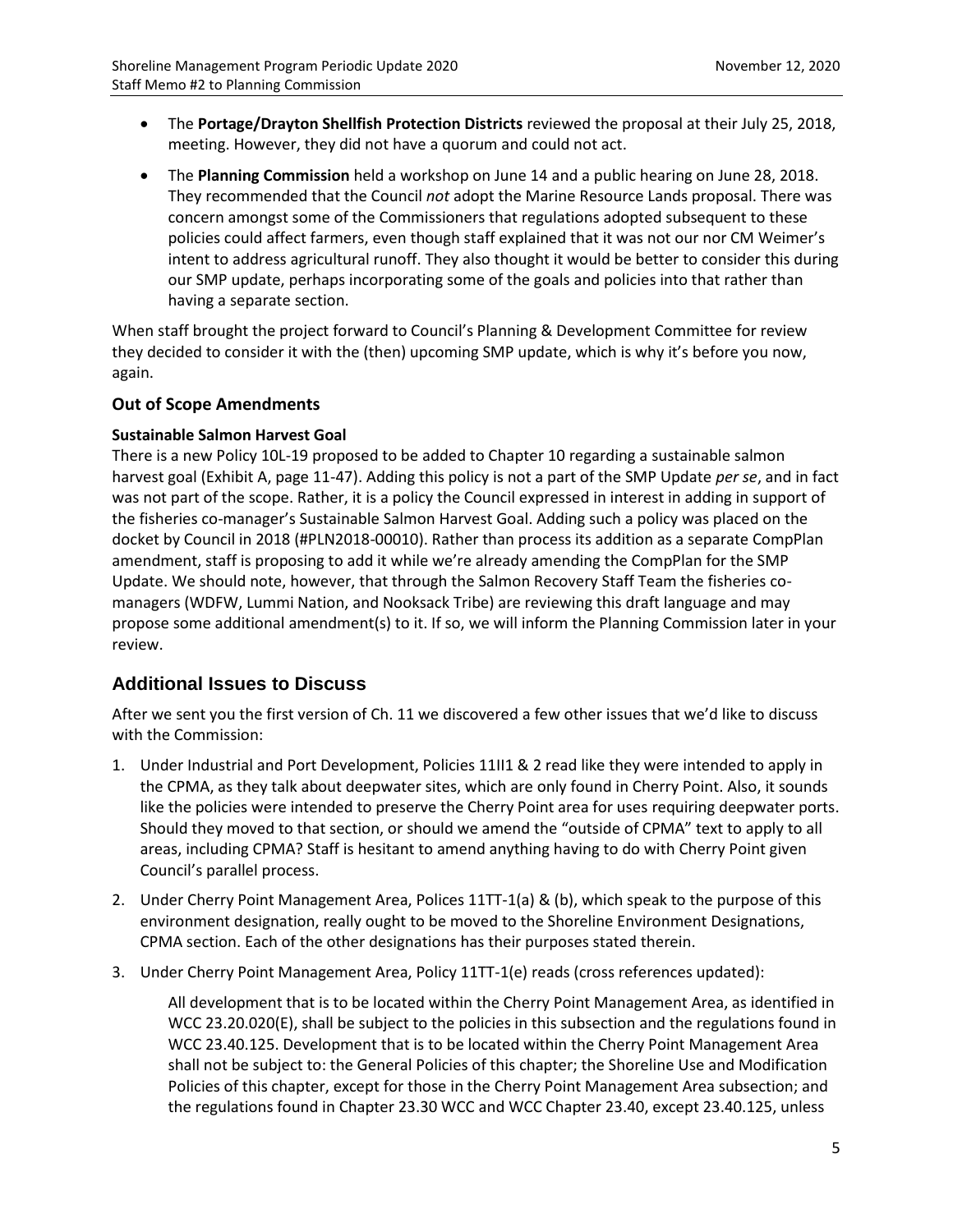- The **Portage/Drayton Shellfish Protection Districts** reviewed the proposal at their July 25, 2018, meeting. However, they did not have a quorum and could not act.
- The **Planning Commission** held a workshop on June 14 and a public hearing on June 28, 2018. They recommended that the Council *not* adopt the Marine Resource Lands proposal. There was concern amongst some of the Commissioners that regulations adopted subsequent to these policies could affect farmers, even though staff explained that it was not our nor CM Weimer's intent to address agricultural runoff. They also thought it would be better to consider this during our SMP update, perhaps incorporating some of the goals and policies into that rather than having a separate section.

When staff brought the project forward to Council's Planning & Development Committee for review they decided to consider it with the (then) upcoming SMP update, which is why it's before you now, again.

## **Out of Scope Amendments**

### **Sustainable Salmon Harvest Goal**

There is a new Policy 10L-19 proposed to be added to Chapter 10 regarding a sustainable salmon harvest goal (Exhibit A, page 11-47). Adding this policy is not a part of the SMP Update *per se*, and in fact was not part of the scope. Rather, it is a policy the Council expressed in interest in adding in support of the fisheries co-manager's Sustainable Salmon Harvest Goal. Adding such a policy was placed on the docket by Council in 2018 (#PLN2018-00010). Rather than process its addition as a separate CompPlan amendment, staff is proposing to add it while we're already amending the CompPlan for the SMP Update. We should note, however, that through the Salmon Recovery Staff Team the fisheries comanagers (WDFW, Lummi Nation, and Nooksack Tribe) are reviewing this draft language and may propose some additional amendment(s) to it. If so, we will inform the Planning Commission later in your review.

## **Additional Issues to Discuss**

After we sent you the first version of Ch. 11 we discovered a few other issues that we'd like to discuss with the Commission:

- 1. Under Industrial and Port Development, Policies 11II1 & 2 read like they were intended to apply in the CPMA, as they talk about deepwater sites, which are only found in Cherry Point. Also, it sounds like the policies were intended to preserve the Cherry Point area for uses requiring deepwater ports. Should they moved to that section, or should we amend the "outside of CPMA" text to apply to all areas, including CPMA? Staff is hesitant to amend anything having to do with Cherry Point given Council's parallel process.
- 2. Under Cherry Point Management Area, Polices 11TT-1(a) & (b), which speak to the purpose of this environment designation, really ought to be moved to the Shoreline Environment Designations, CPMA section. Each of the other designations has their purposes stated therein.
- 3. Under Cherry Point Management Area, Policy 11TT-1(e) reads (cross references updated):

All development that is to be located within the Cherry Point Management Area, as identified in WCC 23.20.020(E), shall be subject to the policies in this subsection and the regulations found in WCC 23.40.125. Development that is to be located within the Cherry Point Management Area shall not be subject to: the General Policies of this chapter; the Shoreline Use and Modification Policies of this chapter, except for those in the Cherry Point Management Area subsection; and the regulations found in Chapter 23.30 WCC and WCC Chapter 23.40, except 23.40.125, unless